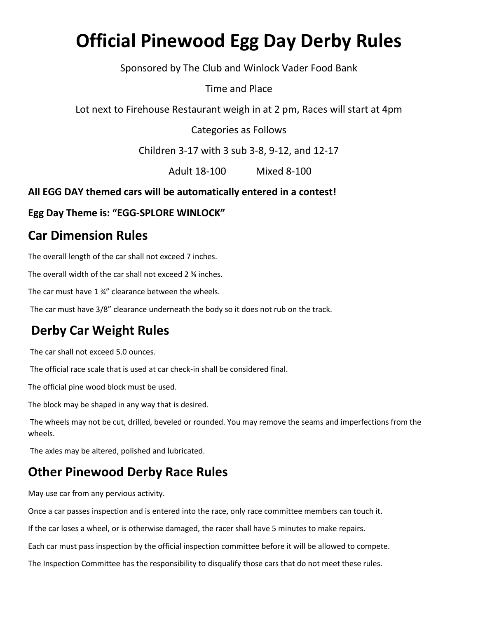# **Official Pinewood Egg Day Derby Rules**

Sponsored by The Club and Winlock Vader Food Bank

Time and Place

Lot next to Firehouse Restaurant weigh in at 2 pm, Races will start at 4pm

Categories as Follows

Children 3-17 with 3 sub 3-8, 9-12, and 12-17

Adult 18-100 Mixed 8-100

**All EGG DAY themed cars will be automatically entered in a contest!** 

**Egg Day Theme is: "EGG-SPLORE WINLOCK"**

#### **Car Dimension Rules**

The overall length of the car shall not exceed 7 inches.

The overall width of the car shall not exceed 2 ¾ inches.

The car must have 1 ¾" clearance between the wheels.

The car must have 3/8" clearance underneath the body so it does not rub on the track.

### **Derby Car Weight Rules**

The car shall not exceed 5.0 ounces.

The official race scale that is used at car check-in shall be considered final.

The official pine wood block must be used.

The block may be shaped in any way that is desired.

The wheels may not be cut, drilled, beveled or rounded. You may remove the seams and imperfections from the wheels.

The axles may be altered, polished and lubricated.

### **Other Pinewood Derby Race Rules**

May use car from any pervious activity.

Once a car passes inspection and is entered into the race, only race committee members can touch it.

If the car loses a wheel, or is otherwise damaged, the racer shall have 5 minutes to make repairs.

Each car must pass inspection by the official inspection committee before it will be allowed to compete.

The Inspection Committee has the responsibility to disqualify those cars that do not meet these rules.